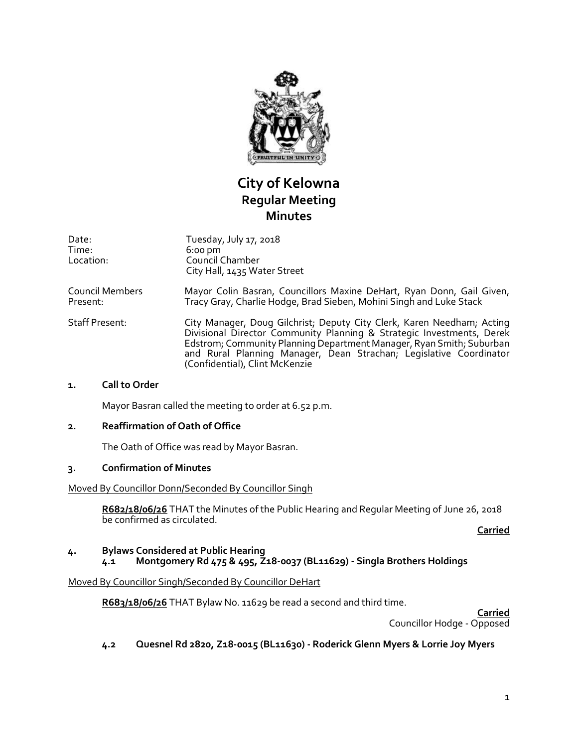

# **City of Kelowna Regular Meeting Minutes**

| Date:<br>Time:<br>Location: | Tuesday, July 17, 2018<br>$6:00 \text{ pm}$<br>Council Chamber<br>City Hall, 1435 Water Street                                                                                                                                                                                                                                  |
|-----------------------------|---------------------------------------------------------------------------------------------------------------------------------------------------------------------------------------------------------------------------------------------------------------------------------------------------------------------------------|
| Council Members<br>Present: | Mayor Colin Basran, Councillors Maxine DeHart, Ryan Donn, Gail Given,<br>Tracy Gray, Charlie Hodge, Brad Sieben, Mohini Singh and Luke Stack                                                                                                                                                                                    |
| <b>Staff Present:</b>       | City Manager, Doug Gilchrist; Deputy City Clerk, Karen Needham; Acting<br>Divisional Director Community Planning & Strategic Investments, Derek<br>Edstrom; Community Planning Department Manager, Ryan Smith; Suburban<br>and Rural Planning Manager, Dean Strachan, Legislative Coordinator<br>(Confidential), Clint McKenzie |
| - '' - - '                  |                                                                                                                                                                                                                                                                                                                                 |

#### **1. Call to Order**

Mayor Basran called the meeting to order at 6.52 p.m.

#### **2. Reaffirmation of Oath of Office**

The Oath of Office was read by Mayor Basran.

## **3. Confirmation of Minutes**

#### Moved By Councillor Donn/Seconded By Councillor Singh

**R682/18/06/26** THAT the Minutes of the Public Hearing and Regular Meeting of June 26, 2018 be confirmed as circulated.

**Carried**

#### **4. Bylaws Considered at Public Hearing 4.1 Montgomery Rd 475 & 495, Z18-0037 (BL11629) - Singla Brothers Holdings**

#### Moved By Councillor Singh/Seconded By Councillor DeHart

**R683/18/06/26** THAT Bylaw No. 11629 be read a second and third time.

**Carried** Councillor Hodge - Opposed

## **4.2 Quesnel Rd 2820, Z18-0015 (BL11630) - Roderick Glenn Myers & Lorrie Joy Myers**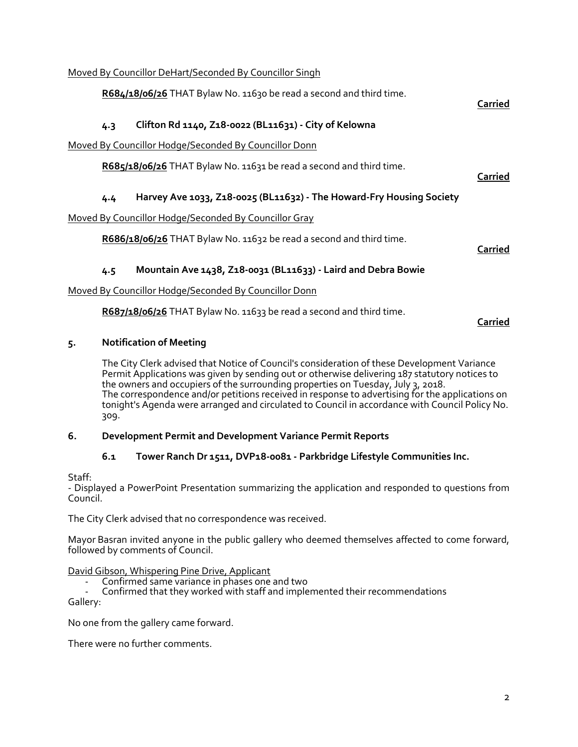## Moved By Councillor DeHart/Seconded By Councillor Singh

**R684/18/06/26** THAT Bylaw No. 11630 be read a second and third time.

# **4.3 Clifton Rd 1140, Z18-0022 (BL11631) - City of Kelowna**

Moved By Councillor Hodge/Seconded By Councillor Donn

**R685/18/06/26** THAT Bylaw No. 11631 be read a second and third time.

# **4.4 Harvey Ave 1033, Z18-0025 (BL11632) - The Howard-Fry Housing Society**

Moved By Councillor Hodge/Seconded By Councillor Gray

**R686/18/06/26** THAT Bylaw No. 11632 be read a second and third time.

**Carried**

**Carried**

**Carried**

## **4.5 Mountain Ave 1438, Z18-0031 (BL11633) - Laird and Debra Bowie**

## Moved By Councillor Hodge/Seconded By Councillor Donn

**R687/18/06/26** THAT Bylaw No. 11633 be read a second and third time.

## **Carried**

## **5. Notification of Meeting**

The City Clerk advised that Notice of Council's consideration of these Development Variance Permit Applications was given by sending out or otherwise delivering 187 statutory notices to the owners and occupiers of the surrounding properties on Tuesday, July 3, 2018. The correspondence and/or petitions received in response to advertising for the applications on tonight's Agenda were arranged and circulated to Council in accordance with Council Policy No. 309.

#### **6. Development Permit and Development Variance Permit Reports**

## **6.1 Tower Ranch Dr 1511, DVP18-0081 - Parkbridge Lifestyle Communities Inc.**

Staff:

- Displayed a PowerPoint Presentation summarizing the application and responded to questions from Council.

The City Clerk advised that no correspondence was received.

Mayor Basran invited anyone in the public gallery who deemed themselves affected to come forward, followed by comments of Council.

#### David Gibson, Whispering Pine Drive, Applicant

- Confirmed same variance in phases one and two
- Confirmed that they worked with staff and implemented their recommendations Gallery:

No one from the gallery came forward.

There were no further comments.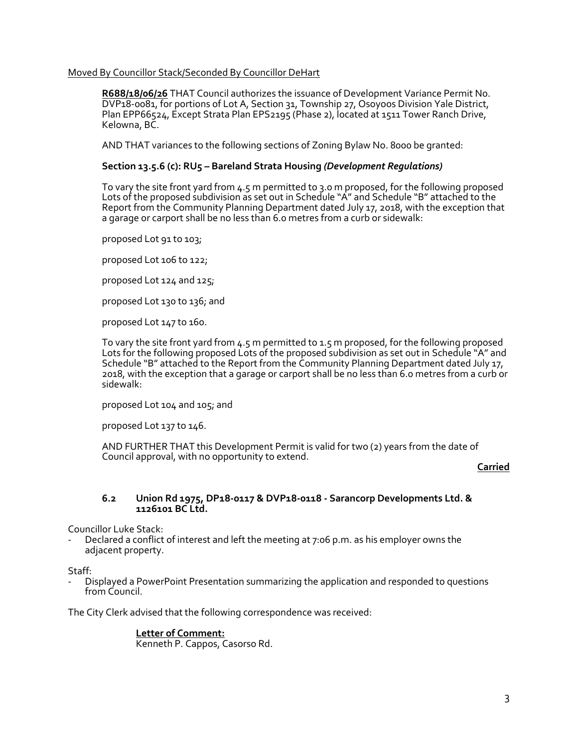#### Moved By Councillor Stack/Seconded By Councillor DeHart

**R688/18/06/26** THAT Council authorizes the issuance of Development Variance Permit No. DVP18-0081, for portions of Lot A, Section 31, Township 27, Osoyoos Division Yale District, Plan EPP66524, Except Strata Plan EPS2195 (Phase 2), located at 1511 Tower Ranch Drive, Kelowna, BC.

AND THAT variances to the following sections of Zoning Bylaw No. 8000 be granted:

#### **Section 13.5.6 (c): RU5 – Bareland Strata Housing** *(Development Regulations)*

To vary the site front yard from 4.5 m permitted to 3.0 m proposed, for the following proposed Lots of the proposed subdivision as set out in Schedule "A" and Schedule "B" attached to the Report from the Community Planning Department dated July 17, 2018, with the exception that a garage or carport shall be no less than 6.0 metres from a curb or sidewalk:

proposed Lot 91 to 103;

proposed Lot 106 to 122;

proposed Lot 124 and 125;

proposed Lot 130 to 136; and

proposed Lot 147 to 160.

To vary the site front yard from 4.5 m permitted to 1.5 m proposed, for the following proposed Lots for the following proposed Lots of the proposed subdivision as set out in Schedule "A" and Schedule "B" attached to the Report from the Community Planning Department dated July 17, 2018, with the exception that a garage or carport shall be no less than 6.0 metres from a curb or sidewalk:

proposed Lot 104 and 105; and

proposed Lot 137 to 146.

AND FURTHER THAT this Development Permit is valid for two (2) years from the date of Council approval, with no opportunity to extend.

**Carried**

#### **6.2 Union Rd 1975, DP18-0117 & DVP18-0118 - Sarancorp Developments Ltd. & 1126101 BC Ltd.**

Councillor Luke Stack:

Declared a conflict of interest and left the meeting at 7:06 p.m. as his employer owns the adjacent property.

Staff:

- Displayed a PowerPoint Presentation summarizing the application and responded to questions from Council.

The City Clerk advised that the following correspondence was received:

**Letter of Comment:** Kenneth P. Cappos, Casorso Rd.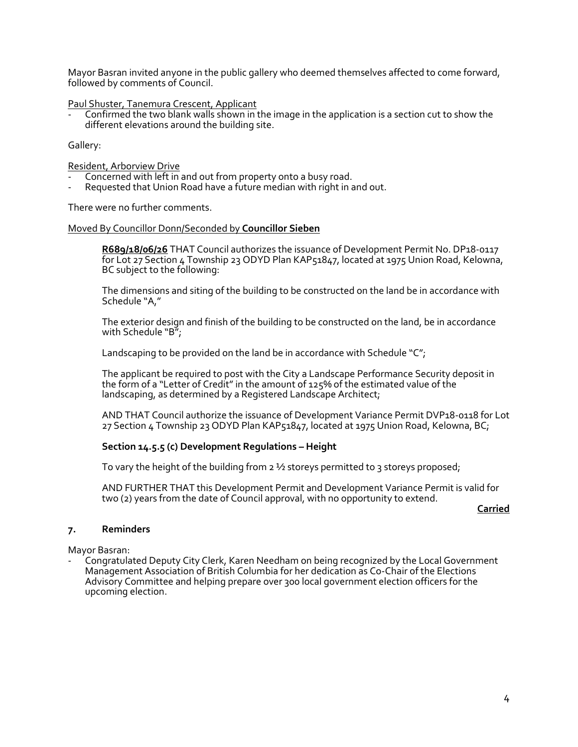Mayor Basran invited anyone in the public gallery who deemed themselves affected to come forward, followed by comments of Council.

Paul Shuster, Tanemura Crescent, Applicant

Confirmed the two blank walls shown in the image in the application is a section cut to show the different elevations around the building site.

Gallery:

#### Resident, Arborview Drive

- Concerned with left in and out from property onto a busy road.
- Requested that Union Road have a future median with right in and out.

There were no further comments.

#### Moved By Councillor Donn/Seconded by **Councillor Sieben**

**R689/18/06/26** THAT Council authorizes the issuance of Development Permit No. DP18-0117 for Lot 27 Section 4 Township 23 ODYD Plan KAP51847, located at 1975 Union Road, Kelowna, BC subject to the following:

The dimensions and siting of the building to be constructed on the land be in accordance with Schedule "A,"

The exterior design and finish of the building to be constructed on the land, be in accordance with Schedule "B";

Landscaping to be provided on the land be in accordance with Schedule "C";

The applicant be required to post with the City a Landscape Performance Security deposit in the form of a "Letter of Credit" in the amount of 125% of the estimated value of the landscaping, as determined by a Registered Landscape Architect;

AND THAT Council authorize the issuance of Development Variance Permit DVP18-0118 for Lot 27 Section 4 Township 23 ODYD Plan KAP51847, located at 1975 Union Road, Kelowna, BC;

#### **Section 14.5.5 (c) Development Regulations – Height**

To vary the height of the building from  $2\frac{1}{2}$  storeys permitted to 3 storeys proposed;

AND FURTHER THAT this Development Permit and Development Variance Permit is valid for two (2) years from the date of Council approval, with no opportunity to extend.

**Carried**

#### **7. Reminders**

Mayor Basran:

- Congratulated Deputy City Clerk, Karen Needham on being recognized by the Local Government Management Association of British Columbia for her dedication as Co-Chair of the Elections Advisory Committee and helping prepare over 300 local government election officers for the upcoming election.